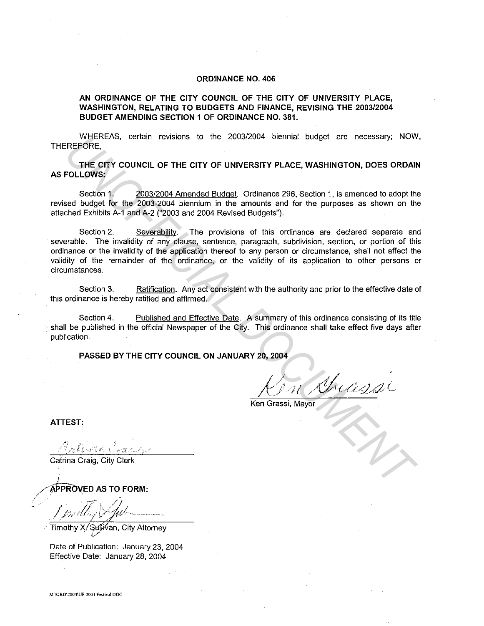## **ORDINANCE NO. 406**

## **AN ORDINANCE OF THE CITY COUNCIL OF THE CITY OF UNIVERSITY PLACE, WASHINGTON, RELATING TO BUDGETS AND FINANCE, REVISING THE 2003/2004 BUDGET AMENDING SECTION 1 OF ORDINANCE NO. 381.**

WHEREAS, certain revisions to the 2003/2004 biennial budget are necessary; NOW, THEREFORE,

**THE CITY COUNCIL OF THE CITY OF UNIVERSITY PLACE, WASHINGTON, DOES ORDAIN AS FOLLOWS:** 

Section 1. 2003/2004 Amended Budget. Ordinance 296, Section 1, is amended to adopt the revised budget for the 2003-2004 biennium in the amounts and for the purposes as shown on the attached Exhibits A-1 and A-2 ("2003 and 2004 Revised Budgets").

Section 2. Severability. The provisions of this ordinance are declared separate and severable. The invalidity of any clause, sentence, paragraph, subdivision, section, or portion of this ordinance or the invalidity of the application thereof to any person or circumstance, shall not affect the validity of the remainder of the ordinance, or the validity of its application to other persons or circumstances. WHERE-AS, certain revisions to the 2003/2004 biennial budget are necessary; NOW<br>
FREFORE,<br>
THE CITY COUNCIL OF THE CITY OF UNIVERSITY PLACE, WASHINGTON, DOES ORDAN<br>
Socion 1, 2003/2004 Amended Budget | Ordinance 296, Secti

Section 3. Ratification. Any act consistent with the authority and prior to the effective date of this ordinance is hereby ratified and affirmed.

Section 4. Published and Effective Date. A summary of this ordinance consisting of its title shall be published in the official Newspaper of the City. This ordinance shall take effect five days after publication.

**PASSED BY THE CITY COUNCIL ON JANUARY 20, 2004** 

(  $/$  $J \setminus J \subset J' \setminus J'$ 

Ken Grassi, Mayor

**ATTEST:** 

;

Catrina Craig, City Clerk

/~~PRO\(ED **AS TO FORM:** 

 $\sqrt{\frac{1}{\pi}}$ ' /,./);c:/1-~-- ~;7' i->:~;.f,tt""~·----~•-'-•""•T-<.

Timothy X/Stll,li?an, City Attorney *i/* 

Date of Publication: January 23, 2004 Effective Date: January 28, 2004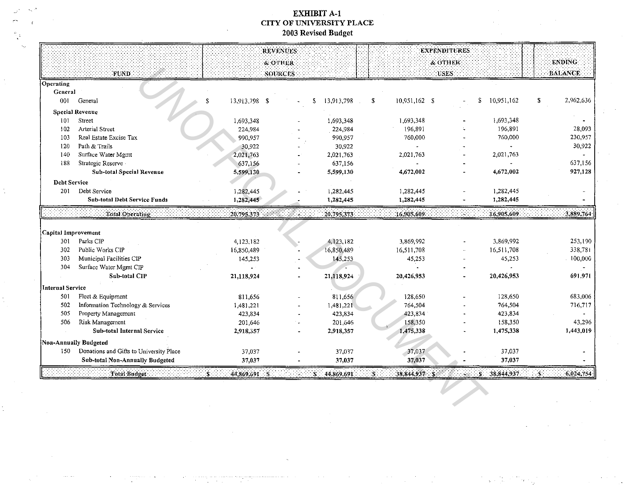## **EXHIBIT A-1** CITY OF UNIVERSITY PLACE 2003 Revised Budget

 $\ddot{\phantom{a}}$ 

|                     |                                         |               | REVENUES              |                 |                       | <b>EXPENDITURES</b> |                 |                 |
|---------------------|-----------------------------------------|---------------|-----------------------|-----------------|-----------------------|---------------------|-----------------|-----------------|
|                     |                                         |               | <b><i>S</i></b> OTHER |                 |                       | & OTHER             |                 | <b>ENDING</b>   |
|                     | FUND                                    |               | SOURCES               |                 |                       | USES:               |                 | <b>BALANCE</b>  |
| Operating           |                                         |               |                       |                 |                       |                     |                 |                 |
| <b>Ceneral</b>      |                                         |               |                       |                 |                       |                     |                 |                 |
| 001                 | General                                 | 13,913,798 \$ |                       | 13,913,798<br>S | $10,951,162$ \$<br>\$ |                     | 10,951,162<br>S | 2,962,636<br>S. |
|                     | <b>Special Revenue</b>                  |               |                       |                 |                       |                     |                 |                 |
| 101                 | Street                                  | 1,693,348     |                       | 1,693,348       | 1,693,348             |                     | 1,693,348       |                 |
| 102                 | <b>Arterial Street</b>                  | 224,984       |                       | 224,984         | 196,891               |                     | 196,891         | 28,093          |
| 103                 | Real Estate Excise Tax                  | 990,957       |                       | 990,957         | 760,000               |                     | 760,000         | 230,957         |
| 120                 | Path & Trails                           | 30,922        |                       | 30,922          |                       |                     |                 | 30,922          |
| 140                 | Surface Water Mgmt                      | 2,021,763     |                       | 2,021,763       | 2,021,763             |                     | 2,021,763       |                 |
| 188                 | Strategic Reserve                       | 637,156       |                       | 637,156         |                       |                     |                 | 637,156         |
|                     | Sub-total Special Revenue               | 5,599,130     |                       | 5,599,130       | 4,672,002             |                     | 4,672,002       | 927,128         |
| <b>Debt Service</b> |                                         |               |                       |                 |                       |                     |                 |                 |
| 201                 | Dept Service                            | 1,282,445     |                       | 1.282,445       | 1,282,445             |                     | 1,282,445       |                 |
|                     | <b>Sub-total Debt Service Funds</b>     | 1.282,445     |                       | 1,282,445       | 1,282,445             |                     | 1,282,445       |                 |
|                     | Total Operating                         | 20.795,373    | ۰.                    | 20 795,373      | 16.905,609            |                     | 16.905,609      | 3.889,764       |
|                     |                                         |               |                       |                 |                       |                     |                 |                 |
| Capital Improvement |                                         |               |                       |                 |                       |                     |                 |                 |
| 301                 | Parks CIP                               | 4,123,182     |                       | 4,123,182       | 3,869,992             |                     | 3,869,992       | 253,190         |
| 302                 | Public Works CIP                        | 16,850,489    |                       | 16,850,489      | 16,511,708            |                     | 16,511,708      | 338,781         |
| 303                 | Municipal Facilities CIP                | 145,253       |                       | 145,253         | 45,253                |                     | 45,253          | 100,000         |
| 304                 | Surface Water Mgmt CIP                  |               |                       |                 |                       |                     |                 |                 |
|                     | <b>Sub-total CIP</b>                    | 21,118,924    |                       | 21,118,924      | 20,426,953            |                     | 20,426,953      | 691.971         |
| Internal Service    |                                         |               |                       |                 |                       |                     |                 |                 |
| 501                 | Fleet & Equipment                       | 811,656       |                       | 811,656         | 128,650               |                     | 128,650         | 683,006         |
| 502                 | Information Technology & Services       | 1,481,221     |                       | 1,481,221       | 764,504               |                     | 764,504         | 716,717         |
| 505                 | Property Management                     | 423,834       |                       | 423,834         | 423,834               |                     | 423,834         |                 |
| 506                 | Risk Management                         | 201,646       |                       | 201,646         | 158,350               |                     | 158,350         | 43,296          |
|                     | Sub-total Internal Service              | 2,918,357     |                       | 2,918,357       | 1,475,338             |                     | 1.475,338       | 1,443,019       |
|                     | Non-Annually Budgeted                   |               |                       |                 |                       |                     |                 |                 |
| 150                 | Donations and Gifts to University Place | 37,037        |                       | 37,037          | 37,037                |                     | 37,037          |                 |
|                     | <b>Sub-total Non-Annually Budgeted</b>  | 37,037        |                       | 37,037          | 37,037                |                     | 37,037          |                 |
|                     |                                         |               |                       |                 |                       |                     |                 |                 |